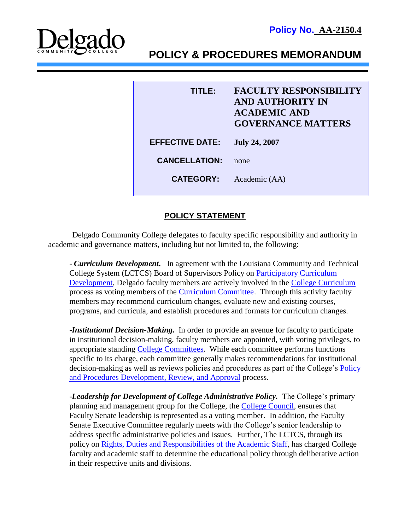

# **POLICY & PROCEDURES MEMORANDUM**

| TITI FA                | <b>FACULTY RESPONSIBILITY</b><br><b>AND AUTHORITY IN</b><br><b>ACADEMIC AND</b><br><b>GOVERNANCE MATTERS</b> |
|------------------------|--------------------------------------------------------------------------------------------------------------|
| <b>EFFECTIVE DATE:</b> | <b>July 24, 2007</b>                                                                                         |
| <b>CANCELLATION:</b>   | none                                                                                                         |
| <b>CATEGORY:</b>       | Academic (AA)                                                                                                |

## **POLICY STATEMENT**

Delgado Community College delegates to faculty specific responsibility and authority in academic and governance matters, including but not limited to, the following:

- *Curriculum Development.* In agreement with the Louisiana Community and Technical College System (LCTCS) Board of Supervisors Policy on [Participatory Curriculum](http://www.lctcs.edu/assets/policies/1.034.pdf)  [Development,](http://www.lctcs.edu/assets/policies/1.034.pdf) Delgado faculty members are actively involved in the [College Curriculum](http://docushare3.dcc.edu/docushare/dsweb/Get/Document-34/1510-1a.doc) process as voting members of the [Curriculum Committee.](http://docushare3.dcc.edu/docushare/dsweb/Get/Document-127/1622-1D.doc) Through this activity faculty members may recommend curriculum changes, evaluate new and existing courses, programs, and curricula, and establish procedures and formats for curriculum changes.

-*Institutional Decision-Making.* In order to provide an avenue for faculty to participate in institutional decision-making, faculty members are appointed, with voting privileges, to appropriate standing [College Committees.](http://www.dcc.edu/departments/policy-office/operationalguidelines/collegecommittees.aspx) While each committee performs functions specific to its charge, each committee generally makes recommendations for institutional decision-making as well as reviews policies and procedures as part of the College's [Policy](http://docushare3.dcc.edu/docushare/dsweb/Get/Document-1060/1220-2.pdf)  [and Procedures Development, Review, and Approval](http://docushare3.dcc.edu/docushare/dsweb/Get/Document-1060/1220-2.pdf) process.

-*Leadership for Development of College Administrative Policy.* The College's primary planning and management group for the College, the [College Council,](http://docushare3.dcc.edu/docushare/dsweb/Get/Document-1948/OpGuide+06-07+Councils-+CollegeCouncil.doc) ensures that Faculty Senate leadership is represented as a voting member. In addition, the Faculty Senate Executive Committee regularly meets with the College's senior leadership to address specific administrative policies and issues. Further, The LCTCS, through its policy on [Rights, Duties and Responsibilities of the Academic Staff,](http://docushare3.dcc.edu/docushare/dsweb/Get/POLICIES/Rights,%20Duties%20and%20Responsibilities%20of%20the%20Academic%20Staff) has charged College faculty and academic staff to determine the educational policy through deliberative action in their respective units and divisions.